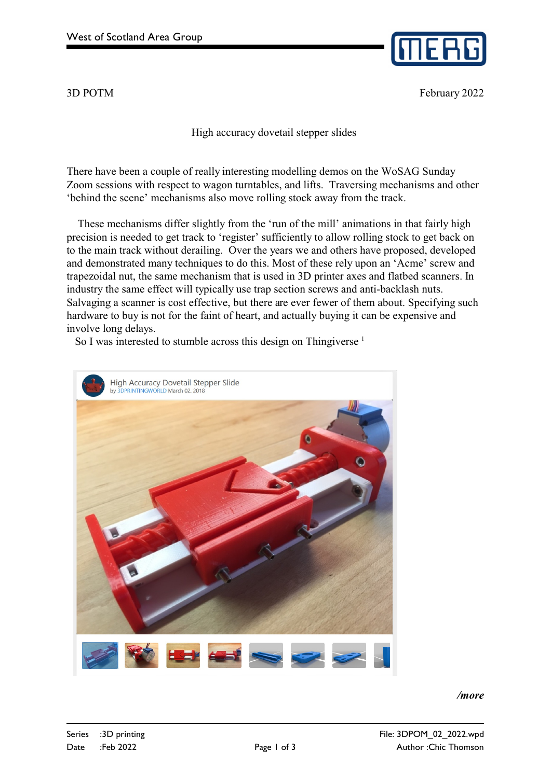

3D POTM February 2022

High accuracy dovetail stepper slides

There have been a couple of really interesting modelling demos on the WoSAG Sunday Zoom sessions with respect to wagon turntables, and lifts. Traversing mechanisms and other 'behind the scene' mechanisms also move rolling stock away from the track.

 These mechanisms differ slightly from the 'run of the mill' animations in that fairly high precision is needed to get track to 'register' sufficiently to allow rolling stock to get back on to the main track without derailing. Over the years we and others have proposed, developed and demonstrated many techniques to do this. Most of these rely upon an 'Acme' screw and trapezoidal nut, the same mechanism that is used in 3D printer axes and flatbed scanners. In industry the same effect will typically use trap section screws and anti-backlash nuts. Salvaging a scanner is cost effective, but there are ever fewer of them about. Specifying such hardware to buy is not for the faint of heart, and actually buying it can be expensive and involve long delays.

So I was interested to stumble across this design on Thingiverse<sup>1</sup>



*/more*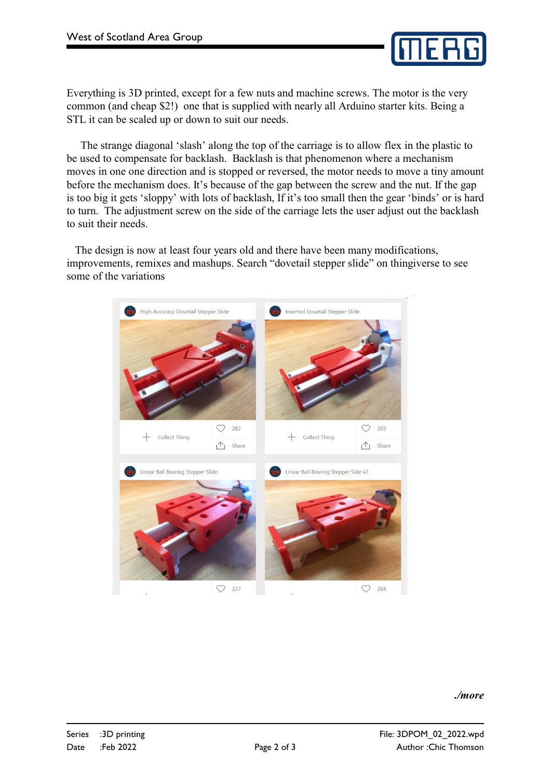

Everything is 3D printed, except for a few nuts and machine screws. The motor is the very common (and cheap \$2!) one that is supplied with nearly all Arduino starter kits. Being a STL it can be scaled up or down to suit our needs.

 The strange diagonal 'slash' along the top of the carriage is to allow flex in the plastic to be used to compensate for backlash. Backlash is that phenomenon where a mechanism moves in one one direction and is stopped or reversed, the motor needs to move a tiny amount before the mechanism does. It's because of the gap between the screw and the nut. If the gap is too big it gets 'sloppy' with lots of backlash, If it's too small then the gear 'binds' or is hard to turn. The adjustment screw on the side of the carriage lets the user adjust out the backlash to suit their needs.

 The design is now at least four years old and there have been many modifications, improvements, remixes and mashups. Search "dovetail stepper slide" on thingiverse to see some of the variations